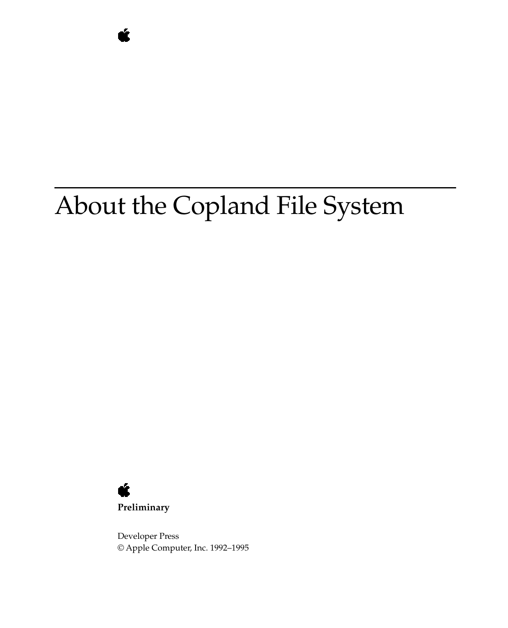

Developer Press © Apple Computer, Inc. 1992–1995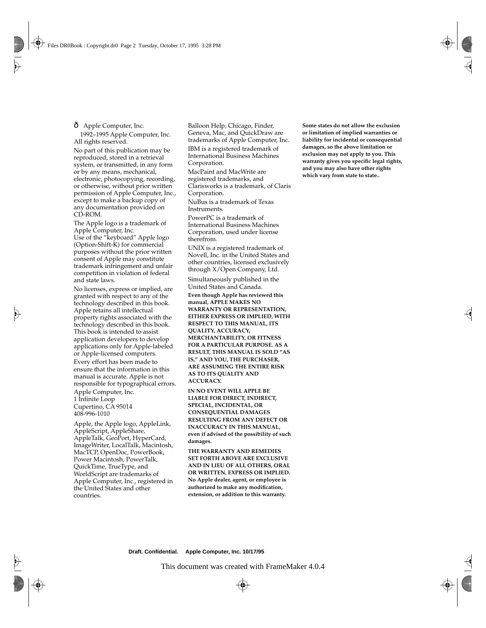Apple Computer, Inc.

 1992–1995 Apple Computer, Inc. All rights reserved.

No part of this publication may be reproduced, stored in a retrieval system, or transmitted, in any form or by any means, mechanical, electronic, photocopying, recording, or otherwise, without prior written permission of Apple Computer, Inc., except to make a backup copy of any documentation provided on CD-ROM.

The Apple logo is a trademark of Apple Computer, Inc. Use of the "keyboard" Apple logo (Option-Shift-K) for commercial purposes without the prior written consent of Apple may constitute trademark infringement and unfair competition in violation of federal and state laws.

No licenses, express or implied, are granted with respect to any of the technology described in this book. Apple retains all intellectual property rights associated with the technology described in this book. This book is intended to assist application developers to develop applications only for Apple-labeled or Apple-licensed computers. Every effort has been made to ensure that the information in this manual is accurate. Apple is not responsible for typographical errors.

Apple Computer, Inc. 1 Infinite Loop Cupertino, CA 95014 408-996-1010

Apple, the Apple logo, AppleLink, AppleScript, AppleShare, AppleTalk, GeoPort, HyperCard, ImageWriter, LocalTalk, Macintosh, MacTCP, OpenDoc, PowerBook, Power Macintosh, PowerTalk, QuickTime, TrueType, and WorldScript are trademarks of Apple Computer, Inc., registered in the United States and other countries.

Balloon Help, Chicago, Finder, Geneva, Mac, and QuickDraw are trademarks of Apple Computer, Inc.

IBM is a registered trademark of International Business Machines Corporation.

MacPaint and MacWrite are registered trademarks, and Clarisworks is a trademark, of Claris Corporation.

NuBus is a trademark of Texas Instruments.

PowerPC is a trademark of International Business Machines Corporation, used under license therefrom.

UNIX is a registered trademark of Novell, Inc. in the United States and other countries, licensed exclusively through X/Open Company, Ltd.

Simultaneously published in the United States and Canada.

**Even though Apple has reviewed this manual, APPLE MAKES NO WARRANTY OR REPRESENTATION, EITHER EXPRESS OR IMPLIED, WITH RESPECT TO THIS MANUAL, ITS QUALITY, ACCURACY, MERCHANTABILITY, OR FITNESS FOR A PARTICULAR PURPOSE. AS A RESULT, THIS MANUAL IS SOLD "AS IS," AND YOU, THE PURCHASER, ARE ASSUMING THE ENTIRE RISK AS TO ITS QUALITY AND ACCURACY.**

**IN NO EVENT WILL APPLE BE LIABLE FOR DIRECT, INDIRECT, SPECIAL, INCIDENTAL, OR CONSEQUENTIAL DAMAGES RESULTING FROM ANY DEFECT OR INACCURACY IN THIS MANUAL, even if advised of the possibility of such damages.**

**THE WARRANTY AND REMEDIES SET FORTH ABOVE ARE EXCLUSIVE AND IN LIEU OF ALL OTHERS, ORAL OR WRITTEN, EXPRESS OR IMPLIED. No Apple dealer, agent, or employee is authorized to make any modification, extension, or addition to this warranty.**

**Some states do not allow the exclusion or limitation of implied warranties or liability for incidental or consequential damages, so the above limitation or exclusion may not apply to you. This warranty gives you specific legal rights, and you may also have other rights which vary from state to state..**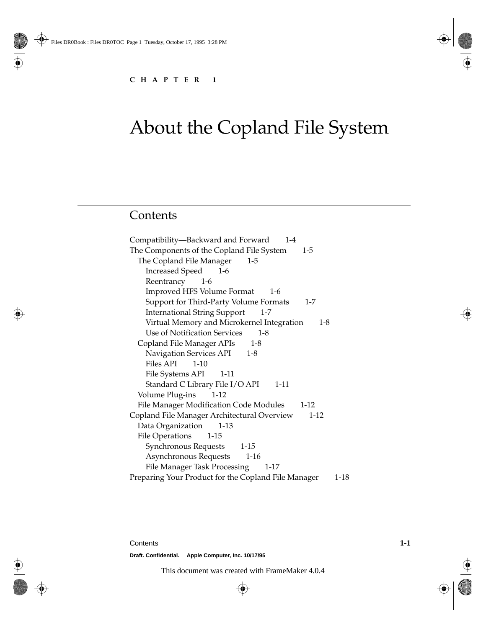# Contents

Compatibility—Backward and Forward 1-4 The Components of the Copland File System 1-5 The Copland File Manager 1-5 Increased Speed 1-6 Reentrancy 1-6 Improved HFS Volume Format 1-6 Support for Third-Party Volume Formats 1-7 International String Support 1-7 Virtual Memory and Microkernel Integration 1-8 Use of Notification Services 1-8 Copland File Manager APIs 1-8 Navigation Services API 1-8 Files API 1-10 File Systems API 1-11 Standard C Library File I/O API 1-11 Volume Plug-ins 1-12 File Manager Modification Code Modules 1-12 Copland File Manager Architectural Overview 1-12 Data Organization 1-13 File Operations 1-15 Synchronous Requests 1-15 Asynchronous Requests 1-16 File Manager Task Processing 1-17 Preparing Your Product for the Copland File Manager 1-18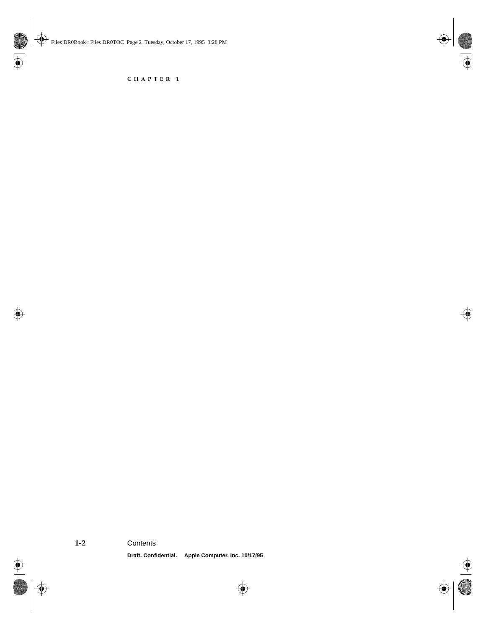#### **CHAPTER 1**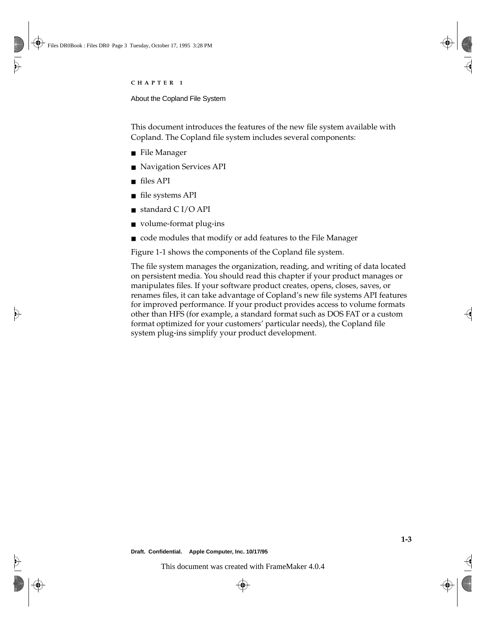#### **CHAPTER 1**

#### About the Copland File System

This document introduces the features of the new file system available with Copland. The Copland file system includes several components:

- File Manager
- Navigation Services API
- files API
- file systems API
- standard C I/O API
- volume-format plug-ins
- code modules that modify or add features to the File Manager

Figure 1-1 shows the components of the Copland file system.

The file system manages the organization, reading, and writing of data located on persistent media. You should read this chapter if your product manages or manipulates files. If your software product creates, opens, closes, saves, or renames files, it can take advantage of Copland's new file systems API features for improved performance. If your product provides access to volume formats other than HFS (for example, a standard format such as DOS FAT or a custom format optimized for your customers' particular needs), the Copland file system plug-ins simplify your product development.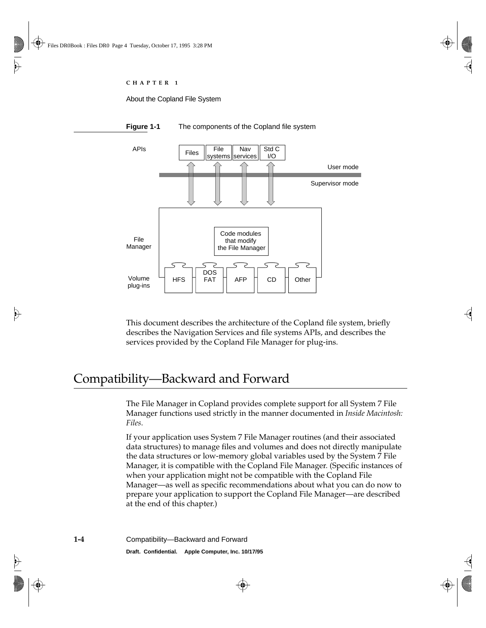

#### **Figure 1-1** The components of the Copland file system

This document describes the architecture of the Copland file system, briefly describes the Navigation Services and file systems APIs, and describes the services provided by the Copland File Manager for plug-ins.

# Compatibility—Backward and Forward 1

The File Manager in Copland provides complete support for all System 7 File Manager functions used strictly in the manner documented in *Inside Macintosh: Files*.

If your application uses System 7 File Manager routines (and their associated data structures) to manage files and volumes and does not directly manipulate the data structures or low-memory global variables used by the System 7 File Manager, it is compatible with the Copland File Manager. (Specific instances of when your application might not be compatible with the Copland File Manager—as well as specific recommendations about what you can do now to prepare your application to support the Copland File Manager—are described at the end of this chapter.)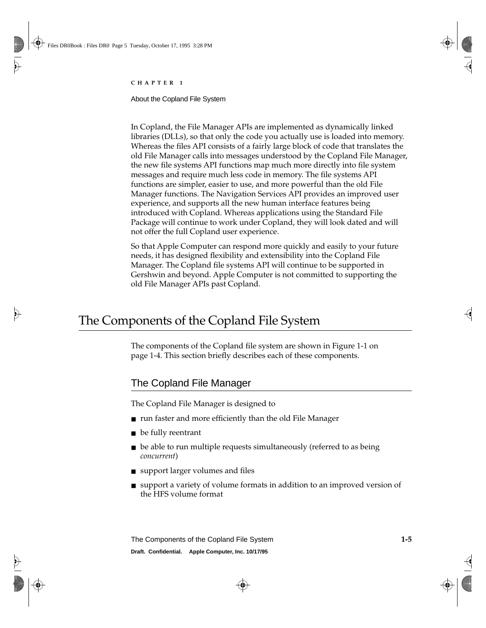**CHAPTER 1**

#### About the Copland File System

In Copland, the File Manager APIs are implemented as dynamically linked libraries (DLLs), so that only the code you actually use is loaded into memory. Whereas the files API consists of a fairly large block of code that translates the old File Manager calls into messages understood by the Copland File Manager, the new file systems API functions map much more directly into file system messages and require much less code in memory. The file systems API functions are simpler, easier to use, and more powerful than the old File Manager functions. The Navigation Services API provides an improved user experience, and supports all the new human interface features being introduced with Copland. Whereas applications using the Standard File Package will continue to work under Copland, they will look dated and will not offer the full Copland user experience.

So that Apple Computer can respond more quickly and easily to your future needs, it has designed flexibility and extensibility into the Copland File Manager. The Copland file systems API will continue to be supported in Gershwin and beyond. Apple Computer is not committed to supporting the old File Manager APIs past Copland.

# The Components of the Copland File System 1

The components of the Copland file system are shown in Figure 1-1 on page 1-4. This section briefly describes each of these components.

## The Copland File Manager 1

The Copland File Manager is designed to

- run faster and more efficiently than the old File Manager
- be fully reentrant
- be able to run multiple requests simultaneously (referred to as being *concurrent*)
- support larger volumes and files
- support a variety of volume formats in addition to an improved version of the HFS volume format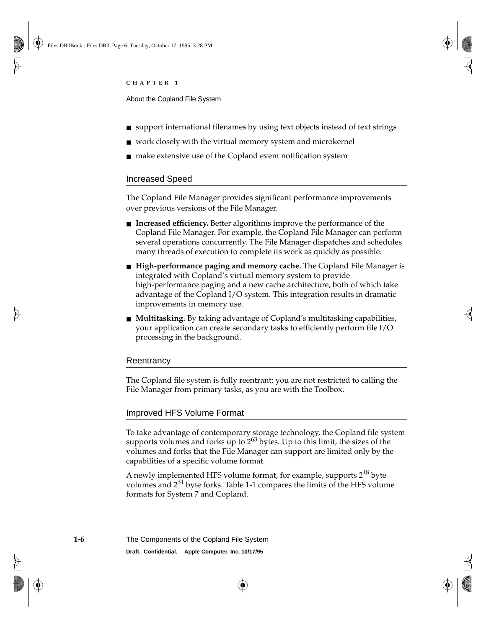- support international filenames by using text objects instead of text strings
- work closely with the virtual memory system and microkernel
- make extensive use of the Copland event notification system

#### Increased Speed 1

The Copland File Manager provides significant performance improvements over previous versions of the File Manager.

- **Increased efficiency.** Better algorithms improve the performance of the Copland File Manager. For example, the Copland File Manager can perform several operations concurrently. The File Manager dispatches and schedules many threads of execution to complete its work as quickly as possible.
- **High-performance paging and memory cache.** The Copland File Manager is integrated with Copland's virtual memory system to provide high-performance paging and a new cache architecture, both of which take advantage of the Copland I/O system. This integration results in dramatic improvements in memory use.
- **Multitasking.** By taking advantage of Copland's multitasking capabilities, your application can create secondary tasks to efficiently perform file I/O processing in the background.

#### Reentrancy

The Copland file system is fully reentrant; you are not restricted to calling the File Manager from primary tasks, as you are with the Toolbox.

#### Improved HFS Volume Format

To take advantage of contemporary storage technology, the Copland file system supports volumes and forks up to  $2^{63}$  bytes. Up to this limit, the sizes of the volumes and forks that the File Manager can support are limited only by the capabilities of a specific volume format.

A newly implemented HFS volume format, for example, supports  $2^{48}$  byte volumes and  $2^{31}$  byte forks. Table 1-1 compares the limits of the HFS volume formats for System 7 and Copland.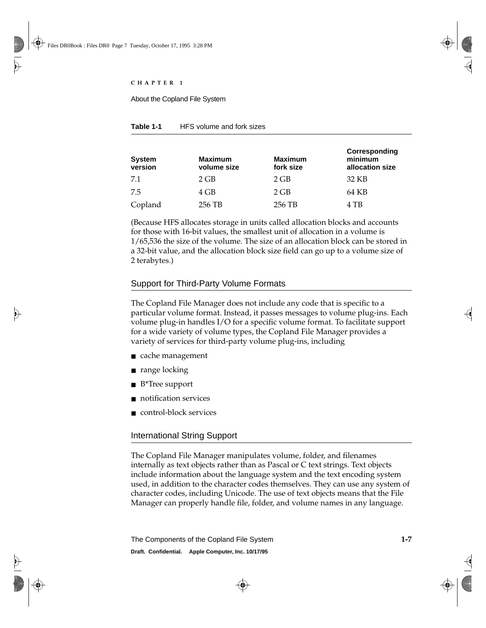#### **Table 1-1** HFS volume and fork sizes

| System<br>version | <b>Maximum</b><br>volume size | <b>Maximum</b><br>fork size | Corresponding<br>minimum<br>allocation size |
|-------------------|-------------------------------|-----------------------------|---------------------------------------------|
| 7.1               | 2 GB                          | 2 GB                        | 32 KB                                       |
| 7.5               | 4 GB                          | 2 GB                        | 64 KB                                       |
| Copland           | 256 TB                        | 256 TB                      | 4 TB                                        |

(Because HFS allocates storage in units called allocation blocks and accounts for those with 16-bit values, the smallest unit of allocation in a volume is 1/65,536 the size of the volume. The size of an allocation block can be stored in a 32-bit value, and the allocation block size field can go up to a volume size of 2 terabytes.)

#### Support for Third-Party Volume Formats 1

The Copland File Manager does not include any code that is specific to a particular volume format. Instead, it passes messages to volume plug-ins. Each volume plug-in handles I/O for a specific volume format. To facilitate support for a wide variety of volume types, the Copland File Manager provides a variety of services for third-party volume plug-ins, including

- cache management
- range locking
- B<sup>\*</sup>Tree support
- notification services
- control-block services

#### International String Support 1

The Copland File Manager manipulates volume, folder, and filenames internally as text objects rather than as Pascal or C text strings. Text objects include information about the language system and the text encoding system used, in addition to the character codes themselves. They can use any system of character codes, including Unicode. The use of text objects means that the File Manager can properly handle file, folder, and volume names in any language.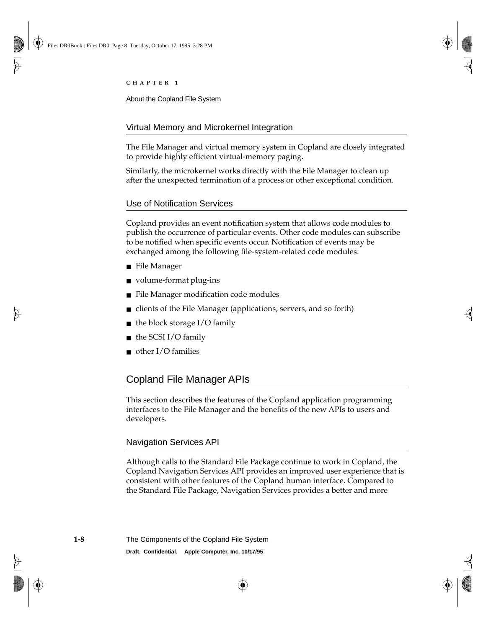#### Virtual Memory and Microkernel Integration 1

The File Manager and virtual memory system in Copland are closely integrated to provide highly efficient virtual-memory paging.

Similarly, the microkernel works directly with the File Manager to clean up after the unexpected termination of a process or other exceptional condition.

#### Use of Notification Services

Copland provides an event notification system that allows code modules to publish the occurrence of particular events. Other code modules can subscribe to be notified when specific events occur. Notification of events may be exchanged among the following file-system-related code modules:

- File Manager
- volume-format plug-ins
- File Manager modification code modules
- clients of the File Manager (applications, servers, and so forth)
- the block storage  $I/O$  family
- the SCSI I/O family
- $\blacksquare$  other I/O families

### Copland File Manager APIs 1

This section describes the features of the Copland application programming interfaces to the File Manager and the benefits of the new APIs to users and developers.

#### Navigation Services API 1

Although calls to the Standard File Package continue to work in Copland, the Copland Navigation Services API provides an improved user experience that is consistent with other features of the Copland human interface. Compared to the Standard File Package, Navigation Services provides a better and more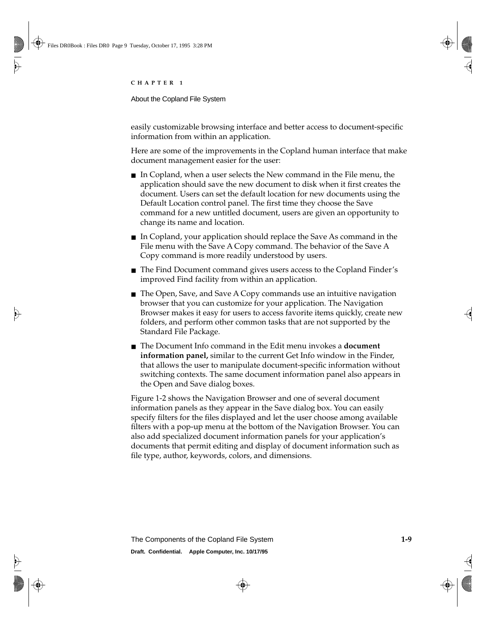easily customizable browsing interface and better access to document-specific information from within an application.

Here are some of the improvements in the Copland human interface that make document management easier for the user:

- In Copland, when a user selects the New command in the File menu, the application should save the new document to disk when it first creates the document. Users can set the default location for new documents using the Default Location control panel. The first time they choose the Save command for a new untitled document, users are given an opportunity to change its name and location.
- In Copland, your application should replace the Save As command in the File menu with the Save A Copy command. The behavior of the Save A Copy command is more readily understood by users.
- The Find Document command gives users access to the Copland Finder's improved Find facility from within an application.
- The Open, Save, and Save A Copy commands use an intuitive navigation browser that you can customize for your application. The Navigation Browser makes it easy for users to access favorite items quickly, create new folders, and perform other common tasks that are not supported by the Standard File Package.
- The Document Info command in the Edit menu invokes a **document information panel,** similar to the current Get Info window in the Finder, that allows the user to manipulate document-specific information without switching contexts. The same document information panel also appears in the Open and Save dialog boxes.

Figure 1-2 shows the Navigation Browser and one of several document information panels as they appear in the Save dialog box. You can easily specify filters for the files displayed and let the user choose among available filters with a pop-up menu at the bottom of the Navigation Browser. You can also add specialized document information panels for your application's documents that permit editing and display of document information such as file type, author, keywords, colors, and dimensions.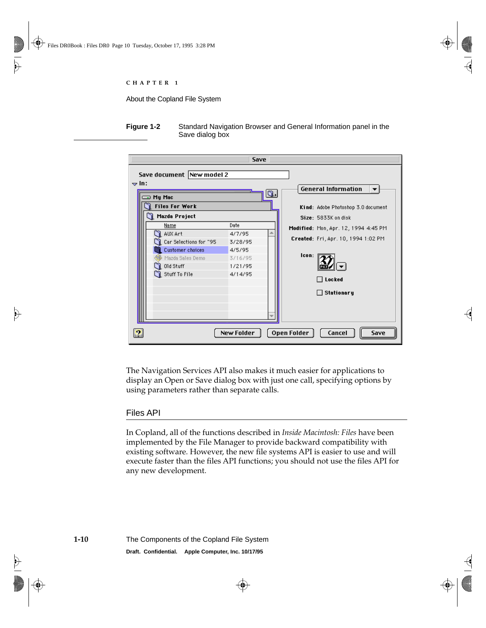| Figure 1-2 | Standard Navigation Browser and General Information panel in the |
|------------|------------------------------------------------------------------|
|            | Save dialog box                                                  |

| Save                      |                                                           |         |  |                                      |  |  |  |
|---------------------------|-----------------------------------------------------------|---------|--|--------------------------------------|--|--|--|
| Save document New model 2 |                                                           |         |  |                                      |  |  |  |
| $\frac{}{\mathbf{v}}$ in: |                                                           |         |  | <b>General Information</b>           |  |  |  |
|                           | My Mac<br>æ.<br><b>Files For Work</b>                     |         |  | Kind: Adobe Photoshop 3.0 document   |  |  |  |
|                           | Mazda Project                                             |         |  | Size: 5833K on disk                  |  |  |  |
|                           | Name                                                      | Date    |  | Modified: Mon, Apr. 12, 1994 4:45 PM |  |  |  |
|                           | AUX Art                                                   | 4/7/95  |  | Created: Fri, Apr. 10, 1994 1:02 PM  |  |  |  |
|                           | Car Selections for "95                                    | 3/28/95 |  |                                      |  |  |  |
|                           | Customer choices                                          | 4/5/95  |  |                                      |  |  |  |
|                           | Mazda Sales Demo                                          | 3/16/95 |  | Icon:                                |  |  |  |
|                           | 01d Stuff                                                 | 1/21/95 |  |                                      |  |  |  |
|                           | Stuff To File                                             | 4/14/95 |  |                                      |  |  |  |
|                           |                                                           |         |  | $\Box$ Locked                        |  |  |  |
|                           |                                                           |         |  | $\exists$ Stationary                 |  |  |  |
|                           |                                                           |         |  |                                      |  |  |  |
|                           |                                                           |         |  |                                      |  |  |  |
|                           |                                                           |         |  |                                      |  |  |  |
|                           |                                                           |         |  |                                      |  |  |  |
|                           | <b>Open Folder</b><br>Save<br><b>New Folder</b><br>Cancel |         |  |                                      |  |  |  |

The Navigation Services API also makes it much easier for applications to display an Open or Save dialog box with just one call, specifying options by using parameters rather than separate calls.

#### Files API 1

In Copland, all of the functions described in *Inside Macintosh: Files* have been implemented by the File Manager to provide backward compatibility with existing software. However, the new file systems API is easier to use and will execute faster than the files API functions; you should not use the files API for any new development.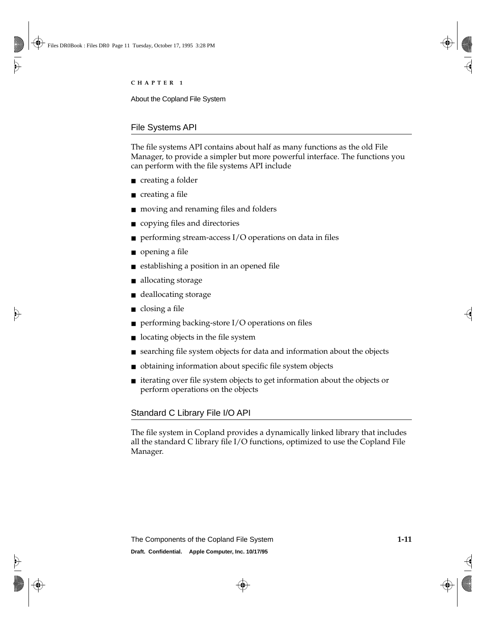#### File Systems API 1

The file systems API contains about half as many functions as the old File Manager, to provide a simpler but more powerful interface. The functions you can perform with the file systems API include

- creating a folder
- creating a file
- moving and renaming files and folders
- copying files and directories
- performing stream-access I/O operations on data in files
- opening a file
- establishing a position in an opened file
- allocating storage
- deallocating storage
- closing a file
- performing backing-store I/O operations on files
- locating objects in the file system
- searching file system objects for data and information about the objects
- obtaining information about specific file system objects
- iterating over file system objects to get information about the objects or perform operations on the objects

#### Standard C Library File I/O API

The file system in Copland provides a dynamically linked library that includes all the standard C library file I/O functions, optimized to use the Copland File Manager.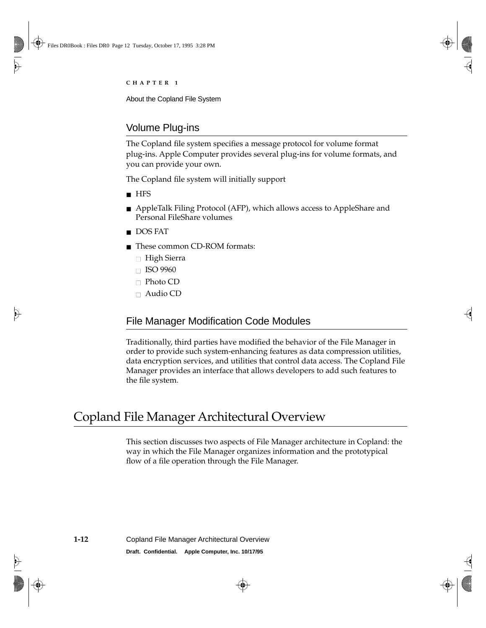## Volume Plug-ins 1

The Copland file system specifies a message protocol for volume format plug-ins. Apple Computer provides several plug-ins for volume formats, and you can provide your own.

The Copland file system will initially support

- HFS
- AppleTalk Filing Protocol (AFP), which allows access to AppleShare and Personal FileShare volumes
- DOS FAT
- These common CD-ROM formats:
	- □ High Sierra
	- $\Box$  ISO 9960
	- $\Box$  Photo CD
	- <sup>n</sup> Audio CD

### File Manager Modification Code Modules 1

Traditionally, third parties have modified the behavior of the File Manager in order to provide such system-enhancing features as data compression utilities, data encryption services, and utilities that control data access. The Copland File Manager provides an interface that allows developers to add such features to the file system.

# Copland File Manager Architectural Overview 1

This section discusses two aspects of File Manager architecture in Copland: the way in which the File Manager organizes information and the prototypical flow of a file operation through the File Manager.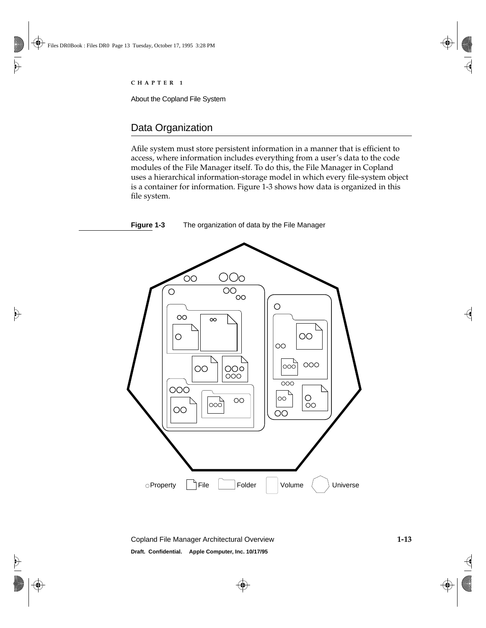# Data Organization

Afile system must store persistent information in a manner that is efficient to access, where information includes everything from a user's data to the code modules of the File Manager itself. To do this, the File Manager in Copland uses a hierarchical information-storage model in which every file-system object is a container for information. Figure 1-3 shows how data is organized in this file system.



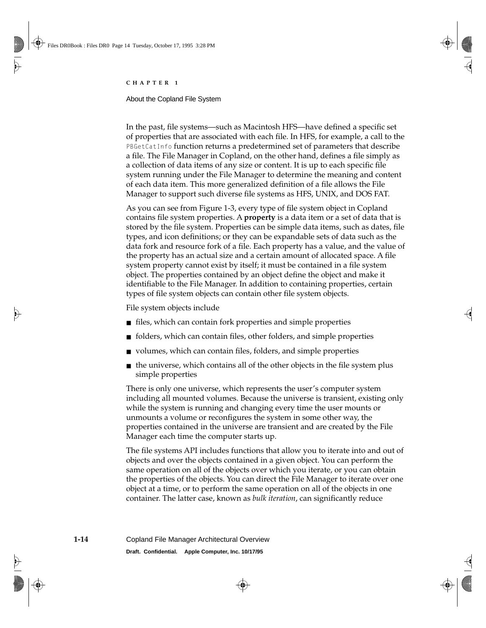#### **CHAPTER 1**

#### About the Copland File System

In the past, file systems—such as Macintosh HFS—have defined a specific set of properties that are associated with each file. In HFS, for example, a call to the PBGetCatInfo function returns a predetermined set of parameters that describe a file. The File Manager in Copland, on the other hand, defines a file simply as a collection of data items of any size or content. It is up to each specific file system running under the File Manager to determine the meaning and content of each data item. This more generalized definition of a file allows the File Manager to support such diverse file systems as HFS, UNIX, and DOS FAT.

As you can see from Figure 1-3, every type of file system object in Copland contains file system properties. A **property** is a data item or a set of data that is stored by the file system. Properties can be simple data items, such as dates, file types, and icon definitions; or they can be expandable sets of data such as the data fork and resource fork of a file. Each property has a value, and the value of the property has an actual size and a certain amount of allocated space. A file system property cannot exist by itself; it must be contained in a file system object. The properties contained by an object define the object and make it identifiable to the File Manager. In addition to containing properties, certain types of file system objects can contain other file system objects.

File system objects include

- files, which can contain fork properties and simple properties
- folders, which can contain files, other folders, and simple properties
- volumes, which can contain files, folders, and simple properties
- the universe, which contains all of the other objects in the file system plus simple properties

There is only one universe, which represents the user's computer system including all mounted volumes. Because the universe is transient, existing only while the system is running and changing every time the user mounts or unmounts a volume or reconfigures the system in some other way, the properties contained in the universe are transient and are created by the File Manager each time the computer starts up.

The file systems API includes functions that allow you to iterate into and out of objects and over the objects contained in a given object. You can perform the same operation on all of the objects over which you iterate, or you can obtain the properties of the objects. You can direct the File Manager to iterate over one object at a time, or to perform the same operation on all of the objects in one container. The latter case, known as *bulk iteration*, can significantly reduce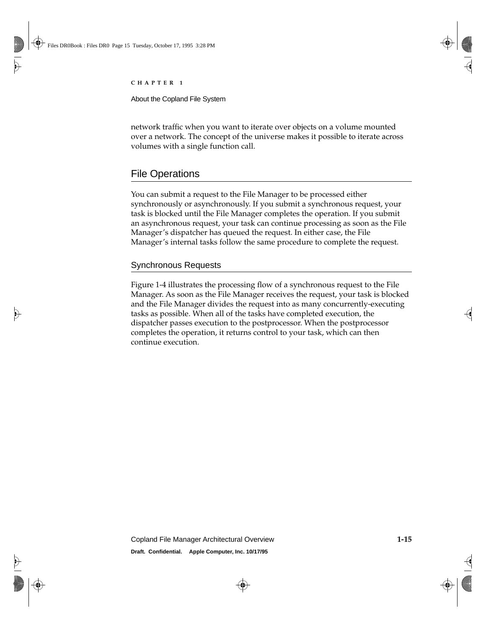network traffic when you want to iterate over objects on a volume mounted over a network. The concept of the universe makes it possible to iterate across volumes with a single function call.

# File Operations 1

You can submit a request to the File Manager to be processed either synchronously or asynchronously. If you submit a synchronous request, your task is blocked until the File Manager completes the operation. If you submit an asynchronous request, your task can continue processing as soon as the File Manager's dispatcher has queued the request. In either case, the File Manager's internal tasks follow the same procedure to complete the request.

#### Synchronous Requests 1

Figure 1-4 illustrates the processing flow of a synchronous request to the File Manager. As soon as the File Manager receives the request, your task is blocked and the File Manager divides the request into as many concurrently-executing tasks as possible. When all of the tasks have completed execution, the dispatcher passes execution to the postprocessor. When the postprocessor completes the operation, it returns control to your task, which can then continue execution.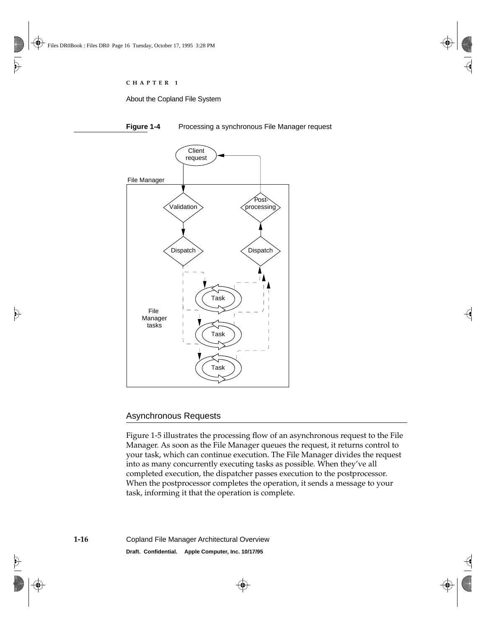# Client request File Manager Post Validation processing Dispatch >  $\langle$  Dispatch Task File Manager tasks I Task I. Task

#### **Figure 1-4** Processing a synchronous File Manager request

#### Asynchronous Requests 1

Figure 1-5 illustrates the processing flow of an asynchronous request to the File Manager. As soon as the File Manager queues the request, it returns control to your task, which can continue execution. The File Manager divides the request into as many concurrently executing tasks as possible. When they've all completed execution, the dispatcher passes execution to the postprocessor. When the postprocessor completes the operation, it sends a message to your task, informing it that the operation is complete.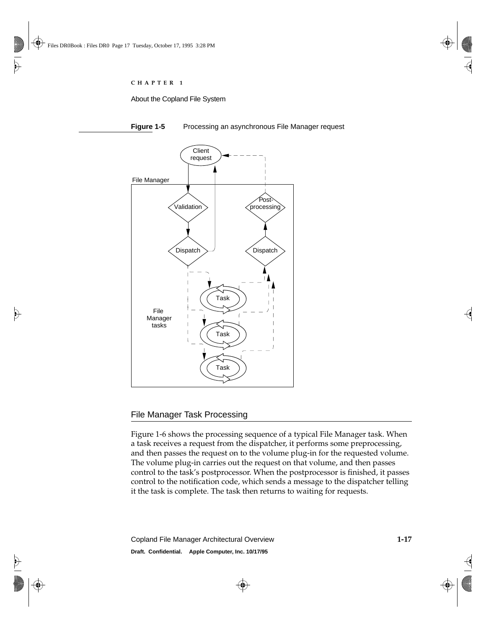

#### **Figure 1-5** Processing an asynchronous File Manager request

## File Manager Task Processing 1

Figure 1-6 shows the processing sequence of a typical File Manager task. When a task receives a request from the dispatcher, it performs some preprocessing, and then passes the request on to the volume plug-in for the requested volume. The volume plug-in carries out the request on that volume, and then passes control to the task's postprocessor. When the postprocessor is finished, it passes control to the notification code, which sends a message to the dispatcher telling it the task is complete. The task then returns to waiting for requests.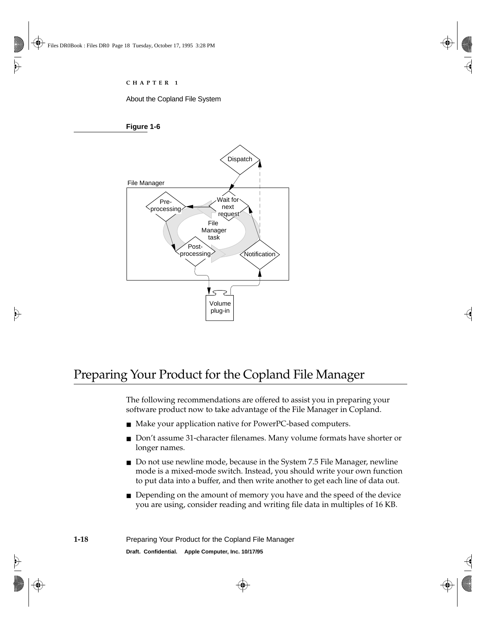



# Preparing Your Product for the Copland File Manager 1

The following recommendations are offered to assist you in preparing your software product now to take advantage of the File Manager in Copland.

- Make your application native for PowerPC-based computers.
- Don't assume 31-character filenames. Many volume formats have shorter or longer names.
- Do not use newline mode, because in the System 7.5 File Manager, newline mode is a mixed-mode switch. Instead, you should write your own function to put data into a buffer, and then write another to get each line of data out.
- Depending on the amount of memory you have and the speed of the device you are using, consider reading and writing file data in multiples of 16 KB.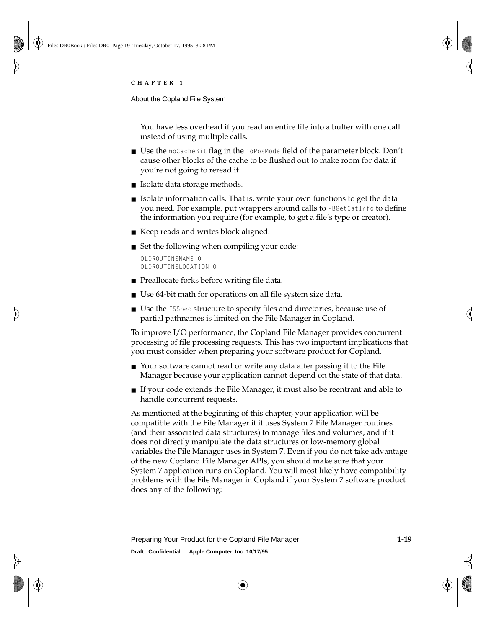You have less overhead if you read an entire file into a buffer with one call instead of using multiple calls.

- Use the noCacheBit flag in the ioPosMode field of the parameter block. Don't cause other blocks of the cache to be flushed out to make room for data if you're not going to reread it.
- Isolate data storage methods.
- Isolate information calls. That is, write your own functions to get the data you need. For example, put wrappers around calls to PBGetCatInfo to define the information you require (for example, to get a file's type or creator).
- Keep reads and writes block aligned.
- Set the following when compiling your code:

```
OLDROUTINENAME=0
OLDROUTINELOCATION=0
```
- Preallocate forks before writing file data.
- Use 64-bit math for operations on all file system size data.
- Use the FSSpec structure to specify files and directories, because use of partial pathnames is limited on the File Manager in Copland.

To improve I/O performance, the Copland File Manager provides concurrent processing of file processing requests. This has two important implications that you must consider when preparing your software product for Copland.

- Your software cannot read or write any data after passing it to the File Manager because your application cannot depend on the state of that data.
- If your code extends the File Manager, it must also be reentrant and able to handle concurrent requests.

As mentioned at the beginning of this chapter, your application will be compatible with the File Manager if it uses System 7 File Manager routines (and their associated data structures) to manage files and volumes, and if it does not directly manipulate the data structures or low-memory global variables the File Manager uses in System 7. Even if you do not take advantage of the new Copland File Manager APIs, you should make sure that your System 7 application runs on Copland. You will most likely have compatibility problems with the File Manager in Copland if your System 7 software product does any of the following: